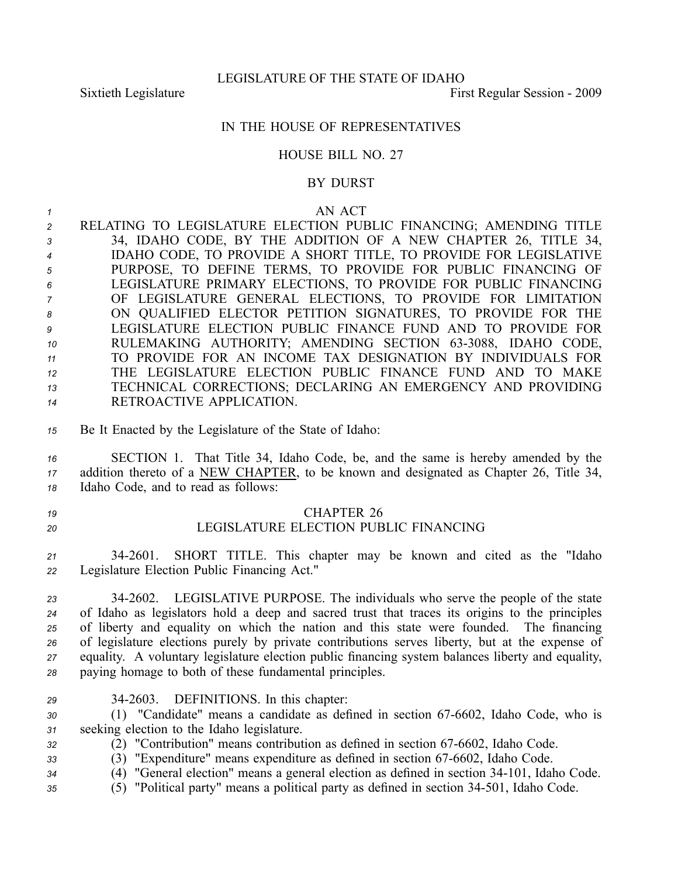Sixtieth Legislature **First** Regular Session - 2009

### IN THE HOUSE OF REPRESENTATIVES

#### HOUSE BILL NO. 27

## BY DURST

#### *1* AN ACT

| $\mathfrak{p}$ | RELATING TO LEGISLATURE ELECTION PUBLIC FINANCING; AMENDING TITLE                      |
|----------------|----------------------------------------------------------------------------------------|
| $\cdot$ 3      | 34, IDAHO CODE, BY THE ADDITION OF A NEW CHAPTER 26, TITLE 34,                         |
| $\overline{4}$ | IDAHO CODE, TO PROVIDE A SHORT TITLE, TO PROVIDE FOR LEGISLATIVE                       |
| 5              | PURPOSE, TO DEFINE TERMS, TO PROVIDE FOR PUBLIC FINANCING OF                           |
| 6              | LEGISLATURE PRIMARY ELECTIONS, TO PROVIDE FOR PUBLIC FINANCING                         |
|                | OF LEGISLATURE GENERAL ELECTIONS, TO PROVIDE FOR LIMITATION                            |
| 8              | ON QUALIFIED ELECTOR PETITION SIGNATURES, TO PROVIDE FOR THE                           |
| 9              | LEGISLATURE ELECTION PUBLIC FINANCE FUND AND TO PROVIDE FOR                            |
| 10             | RULEMAKING AUTHORITY; AMENDING SECTION 63-3088, IDAHO CODE,                            |
| 11             | TO PROVIDE FOR AN INCOME TAX DESIGNATION BY INDIVIDUALS FOR                            |
| 12             | THE LEGISLATURE ELECTION PUBLIC FINANCE FUND AND TO MAKE                               |
| 13             | TECHNICAL CORRECTIONS; DECLARING AN EMERGENCY AND PROVIDING                            |
| 14             | RETROACTIVE APPLICATION.                                                               |
|                |                                                                                        |
| 15             | Be It Enacted by the Legislature of the State of Idaho:                                |
|                |                                                                                        |
| 16             | SECTION 1. That Title 34, Idaho Code, be, and the same is hereby amended by the        |
| 17             | addition thereto of a NEW CHAPTER, to be known and designated as Chapter 26, Title 34, |
|                |                                                                                        |

*<sup>18</sup>* Idaho Code, and to read as follows:

# *19* CHAPTER 26 *20* LEGISLATURE ELECTION PUBLIC FINANCING

*<sup>21</sup>* 342601. SHORT TITLE. This chapter may be known and cited as the "Idaho *<sup>22</sup>* Legislature Election Public Financing Act."

 342602. LEGISLATIVE PURPOSE. The individuals who serve the people of the state of Idaho as legislators hold <sup>a</sup> deep and sacred trust that traces its origins to the principles of liberty and equality on which the nation and this state were founded. The financing of legislature elections purely by private contributions serves liberty, but at the expense of equality. A voluntary legislature election public financing system balances liberty and equality, paying homage to both of these fundamental principles.

- 
- *<sup>29</sup>* 342603. DEFINITIONS. In this chapter:

30 (1) "Candidate" means a candidate as defined in section 67-6602, Idaho Code, who is *<sup>31</sup>* seeking election to the Idaho legislature.

*32* (2) "Contribution" means contribution as defined in section 67-6602, Idaho Code.

- 33 (3) "Expenditure" means expenditure as defined in section 67-6602, Idaho Code.
- *<sup>34</sup>* (4) "General election" means <sup>a</sup> general election as defined in section 34101, Idaho Code.
- *<sup>35</sup>* (5) "Political party" means <sup>a</sup> political party as defined in section 34501, Idaho Code.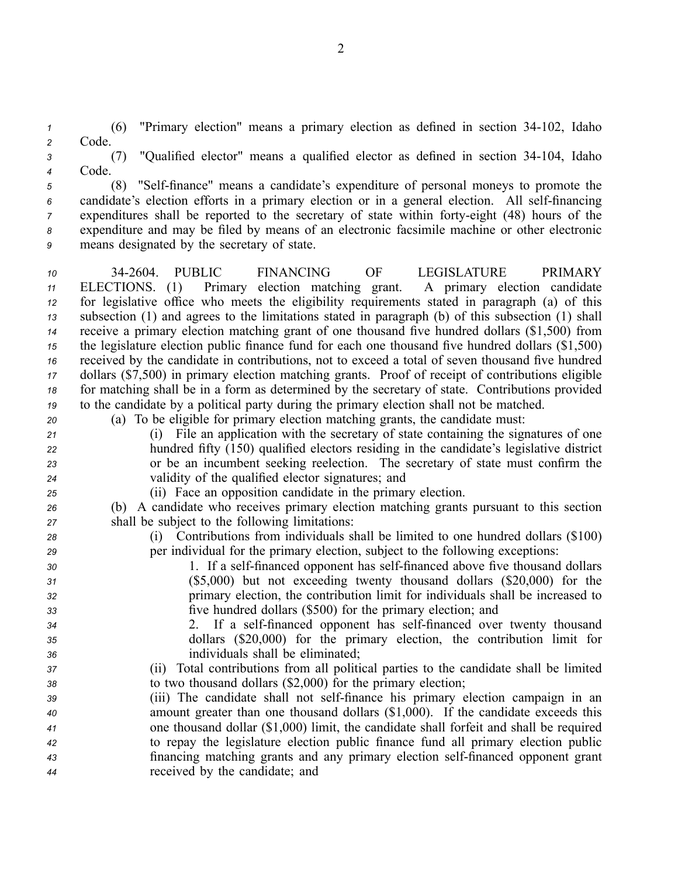*<sup>1</sup>* (6) "Primary election" means <sup>a</sup> primary election as defined in section 34102, Idaho *<sup>2</sup>* Code.

*<sup>3</sup>* (7) "Qualified elector" means <sup>a</sup> qualified elector as defined in section 34104, Idaho *<sup>4</sup>* Code.

<sup>5</sup> (8) "Self-finance" means a candidate's expenditure of personal moneys to promote the 6 candidate's election efforts in a primary election or in a general election. All self-financing *7* expenditures shall be reported to the secretary of state within forty-eight (48) hours of the *<sup>8</sup>* expenditure and may be filed by means of an electronic facsimile machine or other electronic *<sup>9</sup>* means designated by the secretary of state.

 342604. PUBLIC FINANCING OF LEGISLATURE PRIMARY ELECTIONS. (1) Primary election matching grant. A primary election candidate for legislative office who meets the eligibility requirements stated in paragraph (a) of this subsection (1) and agrees to the limitations stated in paragraph (b) of this subsection (1) shall receive <sup>a</sup> primary election matching gran<sup>t</sup> of one thousand five hundred dollars (\$1,500) from the legislature election public finance fund for each one thousand five hundred dollars (\$1,500) received by the candidate in contributions, not to exceed <sup>a</sup> total of seven thousand five hundred dollars (\$7,500) in primary election matching grants. Proof of receipt of contributions eligible for matching shall be in <sup>a</sup> form as determined by the secretary of state. Contributions provided to the candidate by <sup>a</sup> political party during the primary election shall not be matched.

- *<sup>20</sup>* (a) To be eligible for primary election matching grants, the candidate must:
- *<sup>21</sup>* (i) File an application with the secretary of state containing the signatures of one *<sup>22</sup>* hundred fifty (150) qualified electors residing in the candidate's legislative district *<sup>23</sup>* or be an incumbent seeking reelection. The secretary of state must confirm the *<sup>24</sup>* validity of the qualified elector signatures; and
- *<sup>25</sup>* (ii) Face an opposition candidate in the primary election.

*<sup>26</sup>* (b) A candidate who receives primary election matching grants pursuan<sup>t</sup> to this section *<sup>27</sup>* shall be subject to the following limitations:

- *<sup>28</sup>* (i) Contributions from individuals shall be limited to one hundred dollars (\$100) *<sup>29</sup>* per individual for the primary election, subject to the following exceptions:
- 30 1. If a self-financed opponent has self-financed above five thousand dollars *<sup>31</sup>* (\$5,000) but not exceeding twenty thousand dollars (\$20,000) for the *<sup>32</sup>* primary election, the contribution limit for individuals shall be increased to *<sup>33</sup>* five hundred dollars (\$500) for the primary election; and
- *<sup>34</sup>* 2. If <sup>a</sup> selffinanced opponen<sup>t</sup> has selffinanced over twenty thousand *<sup>35</sup>* dollars (\$20,000) for the primary election, the contribution limit for *<sup>36</sup>* individuals shall be eliminated;
- *<sup>37</sup>* (ii) Total contributions from all political parties to the candidate shall be limited *<sup>38</sup>* to two thousand dollars (\$2,000) for the primary election;
- *39* (iii) The candidate shall not self-finance his primary election campaign in an *<sup>40</sup>* amount greater than one thousand dollars (\$1,000). If the candidate exceeds this *<sup>41</sup>* one thousand dollar (\$1,000) limit, the candidate shall forfeit and shall be required *<sup>42</sup>* to repay the legislature election public finance fund all primary election public 43 financing matching grants and any primary election self-financed opponent grant *<sup>44</sup>* received by the candidate; and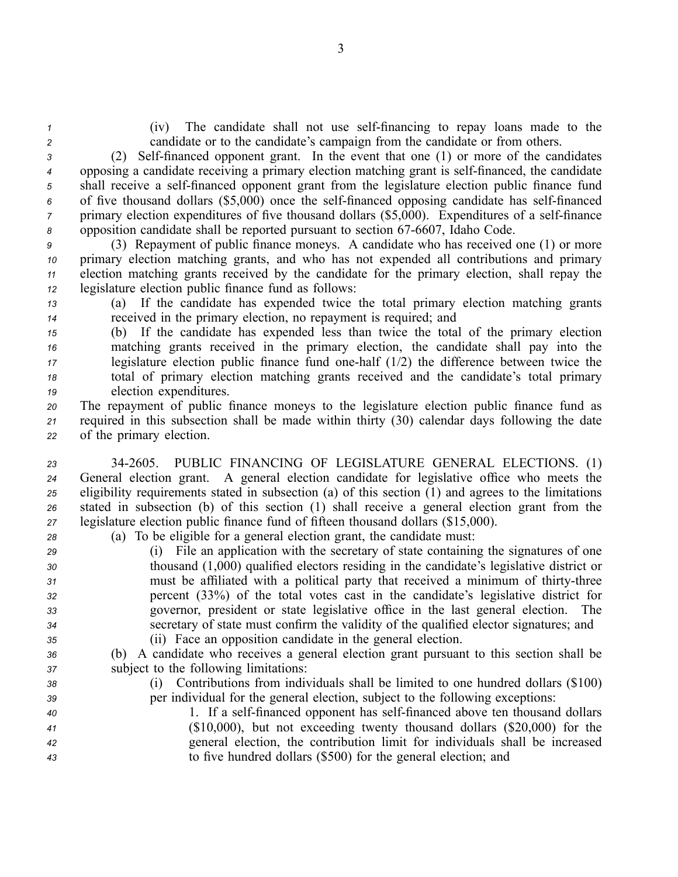*1* (iv) The candidate shall not use self-financing to repay loans made to the *<sup>2</sup>* candidate or to the candidate's campaign from the candidate or from others.

3 (2) Self-financed opponent grant. In the event that one (1) or more of the candidates <sup>4</sup> opposing a candidate receiving a primary election matching grant is self-financed, the candidate 5 shall receive a self-financed opponent grant from the legislature election public finance fund 6 of five thousand dollars (\$5,000) once the self-financed opposing candidate has self-financed *7* primary election expenditures of five thousand dollars (\$5,000). Expenditures of a self-finance 8 opposition candidate shall be reported pursuant to section 67-6607, Idaho Code.

 (3) Repayment of public finance moneys. A candidate who has received one (1) or more primary election matching grants, and who has not expended all contributions and primary election matching grants received by the candidate for the primary election, shall repay the legislature election public finance fund as follows:

*<sup>13</sup>* (a) If the candidate has expended twice the total primary election matching grants *<sup>14</sup>* received in the primary election, no repaymen<sup>t</sup> is required; and

 (b) If the candidate has expended less than twice the total of the primary election matching grants received in the primary election, the candidate shall pay into the legislature election public finance fund onehalf (1/2) the difference between twice the total of primary election matching grants received and the candidate's total primary election expenditures.

*<sup>20</sup>* The repaymen<sup>t</sup> of public finance moneys to the legislature election public finance fund as *<sup>21</sup>* required in this subsection shall be made within thirty (30) calendar days following the date *<sup>22</sup>* of the primary election.

 342605. PUBLIC FINANCING OF LEGISLATURE GENERAL ELECTIONS. (1) General election grant. A general election candidate for legislative office who meets the eligibility requirements stated in subsection (a) of this section (1) and agrees to the limitations stated in subsection (b) of this section (1) shall receive <sup>a</sup> general election gran<sup>t</sup> from the legislature election public finance fund of fifteen thousand dollars (\$15,000).

- *<sup>28</sup>* (a) To be eligible for <sup>a</sup> general election grant, the candidate must:
- *<sup>29</sup>* (i) File an application with the secretary of state containing the signatures of one *<sup>30</sup>* thousand (1,000) qualified electors residing in the candidate's legislative district or *31* must be affiliated with a political party that received a minimum of thirty-three *<sup>32</sup>* percen<sup>t</sup> (33%) of the total votes cast in the candidate's legislative district for *<sup>33</sup>* governor, president or state legislative office in the last general election. The *<sup>34</sup>* secretary of state must confirm the validity of the qualified elector signatures; and *<sup>35</sup>* (ii) Face an opposition candidate in the general election.
- *<sup>36</sup>* (b) A candidate who receives <sup>a</sup> general election gran<sup>t</sup> pursuan<sup>t</sup> to this section shall be *<sup>37</sup>* subject to the following limitations:
- *<sup>38</sup>* (i) Contributions from individuals shall be limited to one hundred dollars (\$100) *<sup>39</sup>* per individual for the general election, subject to the following exceptions:
- <sup>40</sup> <sup>1</sup>. If a self-financed opponent has self-financed above ten thousand dollars *<sup>41</sup>* (\$10,000), but not exceeding twenty thousand dollars (\$20,000) for the *<sup>42</sup>* general election, the contribution limit for individuals shall be increased *<sup>43</sup>* to five hundred dollars (\$500) for the general election; and

3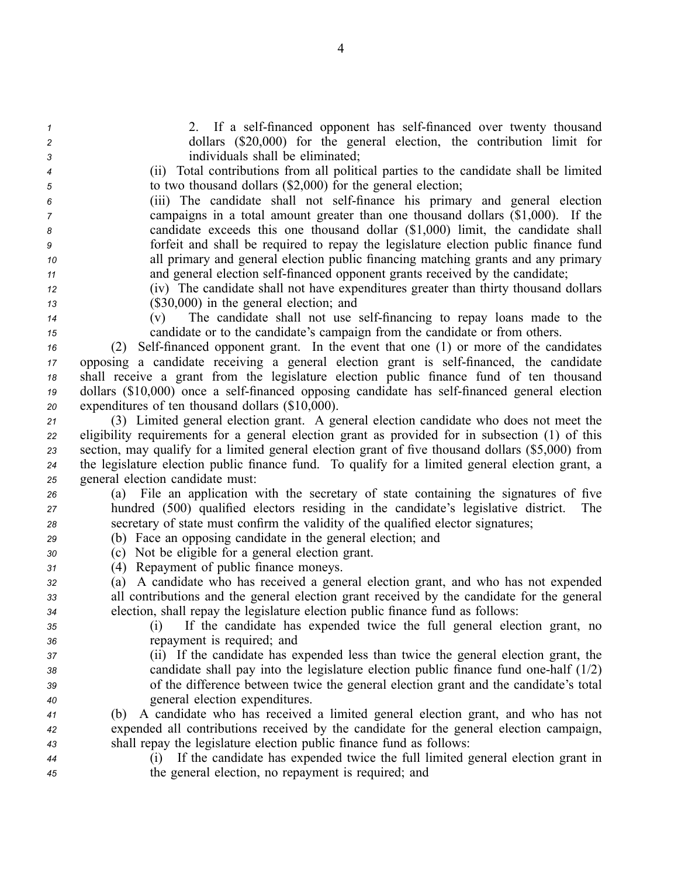2. If a self-financed opponent has self-financed over twenty thousand dollars (\$20,000) for the general election, the contribution limit for individuals shall be eliminated; (ii) Total contributions from all political parties to the candidate shall be limited to two thousand dollars (\$2,000) for the general election; (iii) The candidate shall not selffinance his primary and general election campaigns in <sup>a</sup> total amount greater than one thousand dollars (\$1,000). If the candidate exceeds this one thousand dollar (\$1,000) limit, the candidate shall forfeit and shall be required to repay the legislature election public finance fund all primary and general election public financing matching grants and any primary 11 and general election self-financed opponent grants received by the candidate; (iv) The candidate shall not have expenditures greater than thirty thousand dollars (\$30,000) in the general election; and (v) The candidate shall not use selffinancing to repay loans made to the candidate or to the candidate's campaign from the candidate or from others. 16 (2) Self-financed opponent grant. In the event that one (1) or more of the candidates 17 opposing a candidate receiving a general election grant is self-financed, the candidate shall receive <sup>a</sup> gran<sup>t</sup> from the legislature election public finance fund of ten thousand 19 dollars (\$10,000) once a self-financed opposing candidate has self-financed general election expenditures of ten thousand dollars (\$10,000). (3) Limited general election grant. A general election candidate who does not meet the eligibility requirements for <sup>a</sup> general election gran<sup>t</sup> as provided for in subsection (1) of this section, may qualify for <sup>a</sup> limited general election gran<sup>t</sup> of five thousand dollars (\$5,000) from the legislature election public finance fund. To qualify for <sup>a</sup> limited general election grant, <sup>a</sup> general election candidate must: (a) File an application with the secretary of state containing the signatures of five hundred (500) qualified electors residing in the candidate's legislative district. The secretary of state must confirm the validity of the qualified elector signatures; (b) Face an opposing candidate in the general election; and (c) Not be eligible for <sup>a</sup> general election grant. (4) Repayment of public finance moneys. (a) A candidate who has received <sup>a</sup> general election grant, and who has not expended all contributions and the general election gran<sup>t</sup> received by the candidate for the general election, shall repay the legislature election public finance fund as follows: (i) If the candidate has expended twice the full general election grant, no repaymen<sup>t</sup> is required; and (ii) If the candidate has expended less than twice the general election grant, the candidate shall pay into the legislature election public finance fund onehalf (1/2) of the difference between twice the general election gran<sup>t</sup> and the candidate's total general election expenditures. (b) A candidate who has received <sup>a</sup> limited general election grant, and who has not expended all contributions received by the candidate for the general election campaign, shall repay the legislature election public finance fund as follows: (i) If the candidate has expended twice the full limited general election gran<sup>t</sup> in the general election, no repaymen<sup>t</sup> is required; and

4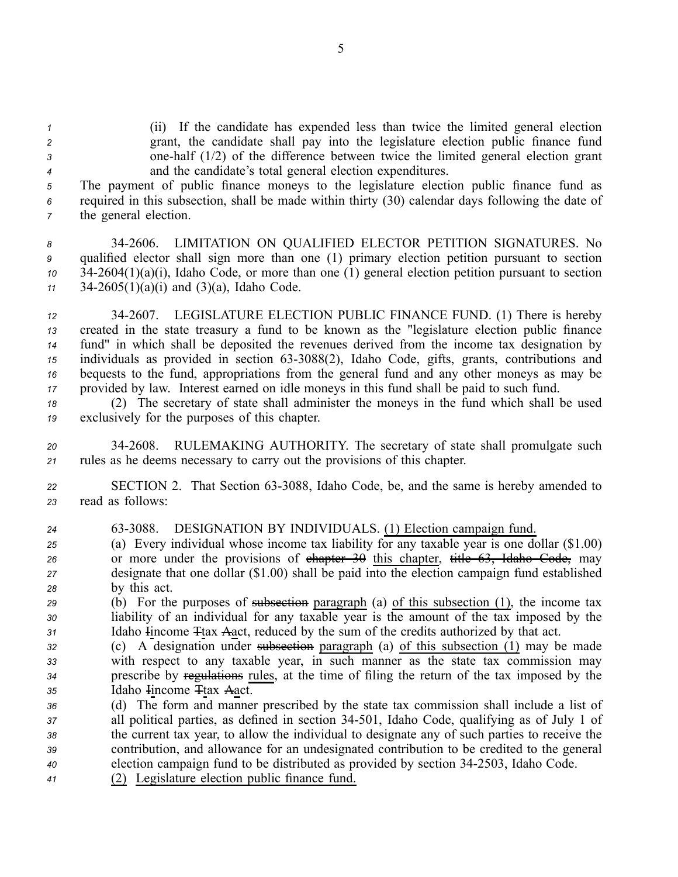(ii) If the candidate has expended less than twice the limited general election grant, the candidate shall pay into the legislature election public finance fund onehalf (1/2) of the difference between twice the limited general election gran<sup>t</sup> and the candidate's total general election expenditures.

*<sup>5</sup>* The paymen<sup>t</sup> of public finance moneys to the legislature election public finance fund as *<sup>6</sup>* required in this subsection, shall be made within thirty (30) calendar days following the date of *<sup>7</sup>* the general election.

 342606. LIMITATION ON QUALIFIED ELECTOR PETITION SIGNATURES. No qualified elector shall sign more than one (1) primary election petition pursuan<sup>t</sup> to section 342604(1)(a)(i), Idaho Code, or more than one (1) general election petition pursuan<sup>t</sup> to section 342605(1)(a)(i) and (3)(a), Idaho Code.

 342607. LEGISLATURE ELECTION PUBLIC FINANCE FUND. (1) There is hereby created in the state treasury <sup>a</sup> fund to be known as the "legislature election public finance fund" in which shall be deposited the revenues derived from the income tax designation by 15 individuals as provided in section 63-3088(2), Idaho Code, gifts, grants, contributions and bequests to the fund, appropriations from the general fund and any other moneys as may be provided by law. Interest earned on idle moneys in this fund shall be paid to such fund.

*<sup>18</sup>* (2) The secretary of state shall administer the moneys in the fund which shall be used *<sup>19</sup>* exclusively for the purposes of this chapter.

*<sup>20</sup>* 342608. RULEMAKING AUTHORITY. The secretary of state shall promulgate such *<sup>21</sup>* rules as he deems necessary to carry out the provisions of this chapter.

22 SECTION 2. That Section 63-3088, Idaho Code, be, and the same is hereby amended to *<sup>23</sup>* read as follows:

 633088. DESIGNATION BY INDIVIDUALS. (1) Election campaign fund. (a) Every individual whose income tax liability for any taxable year is one dollar (\$1.00) or more under the provisions of chapter 30 this chapter, title 63, Idaho Code, may designate that one dollar (\$1.00) shall be paid into the election campaign fund established by this act. (b) For the purposes of subsection paragraph (a) of this subsection (1), the income tax liability of an individual for any taxable year is the amount of the tax imposed by the Idaho Iincome Ttax Aact, reduced by the sum of the credits authorized by that act. (c) A designation under subsection paragraph (a) of this subsection (1) may be made with respec<sup>t</sup> to any taxable year, in such manner as the state tax commission may prescribe by regulations rules, at the time of filing the return of the tax imposed by the Idaho Iincome Ttax Aact. (d) The form and manner prescribed by the state tax commission shall include <sup>a</sup> list of all political parties, as defined in section 34501, Idaho Code, qualifying as of July 1 of the current tax year, to allow the individual to designate any of such parties to receive the contribution, and allowance for an undesignated contribution to be credited to the general

- *<sup>40</sup>* election campaign fund to be distributed as provided by section 342503, Idaho Code.
- *<sup>41</sup>* (2) Legislature election public finance fund.